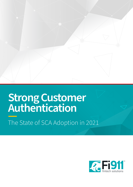# **Strong Customer Authentication**

The State of SCA Adoption in 2021

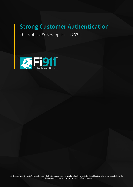## **Strong Customer Authentication**

The State of SCA Adoption in 2021

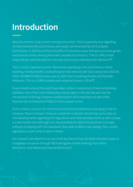## **Introduction**

Security remains a top concern among consumers. This is especially true regarding remote channels like eCommerce; one study commissioned by the European Commission in 2018 found that only 69% of consumers were willing to purchase goods and services online. Among those who avoided eCommerce, 77% (or 24% of total respondents) said that payment security and privacy motivated their decision **[1]**.

This is not an irrational concern. Businesses operating in the eCommerce, airline ticketing, money transfer, and banking services verticals will lose a projected USD\$ 48 billion (EUR€39.4 billion) every year by 2023 due to evolving threats and fraudster behaviors. This is a 118% increase over projected losses in 2018 **[2]**.

Governments around the world have taken action in response to these outstanding liabilities. One of the most noteworthy actions taken in the last decade was the introduction of Strong Customer Authentication (SCA) standards as part of the Payment Service Directive (PSD2) in the European Union.

SCA is mainly a concern for merchants and financial institutions operating in the EU. However, those involved in finance outside the continent should stay up-to-date on new developments regarding SCA regulations and other developments as well. Europe is a key market and, although one may presently be able to do business in Europe without complying with SCA standards, that state of affairs may change. Plus, similar regulations could come to other markets.

Our research identified SCA as one of the key factors that will determine the impact of chargeback issuances through 2023 (alongside mobile banking, Visa Claims Resolution, and Mastercard Dispute Resolution).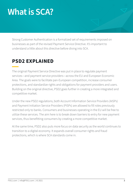## **What is SCA?**

Strong Customer Authentication is a formalized set of requirements imposed on businesses as part of the revised Payment Service Directive. It's important to understand a little about this directive before diving into SCA.

### **PSD2 EXPLAINED**

The original Payment Service Directive was put in place to regulate payment services—and payment service providers—across the EU and European Economic Area. The goals were to facilitate pan-European competition, increase consumer protections, and standardize rights and obligations for payment providers and users. Building on the original directive, PSD2 goes further in creating a more integrated and competitive market.

Under the new PSD2 regulations, both Account Information Service Providers (AISPs) and Payment Initiation Service Providers (PISPs) are allowed to fill roles previously restricted only to banks. Consumers and businesses operating in the EU will be free to utilize these services. The aim here is to break down barriers to entry for new payment services, thus benefitting consumers by creating a more competitive market.

At the same time, PSD2 also puts more focus on data security as the world continues to transition to a digital economy. It expands overall consumer rights and fraud protections, which is where SCA standards come in.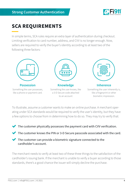

## **SCA REQUIREMENTS**

In simple terms, SCA rules require an extra layer of authentication during checkout. Limiting verification to card number, address, and CVV is no longer enough. Now, sellers are required to verify the buyer's identity according to at least two of the following three factors:



**Possession** Something the user possesses, like a phone or payment card.



**Knowledge** Something the user knows, like a 3-D Secure code attached to an account



**Inherence**

Something the user inherently is, like a fingerprint or other biometric impression.

To illustrate, assume a customer wants to make an online purchase. A merchant operating under SCA standards would be required to verify the user's identity, but they have a few options to choose from in determining how to do so. They may try to verify that:

- The customer physically possesses the payment card with CVV verification.
- The customer knows the PIN or 3-D Secure passcode associated with the card.
- The customer can provide a biometric signature connected to the cardholder's account.

The merchant needs to verify at least two of these three things to the satisfaction of the cardholder's issuing bank. If the merchant is unable to verify a buyer according to those standards, there's a good chance the issuer will simply decline the purchase.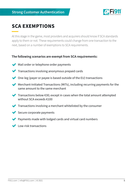

## **SCA EXEMPTIONS**

At this stage in the game, most providers and acquirers should know if SCA standards apply to them or not. These requirements could change from one transaction to the next, based on a number of exemptions to SCA requirements.

#### **The following scenarios are exempt from SCA requirements:**

- Mail order or telephone order payments
- **Transactions involving anonymous prepaid cards**
- One-leg (payer or payee is based outside of the EU) transactions
- Merchant-Initiated Transactions (MITs), including recurring payments for the same amount to the same merchant
- Transactions below €30; except in cases when the total amount attempted without SCA exceeds €100
- Transactions involving a merchant whitelisted by the consumer
- Secure corporate payments
- Payments made with lodged cards and virtual card numbers
- Low-risk transactions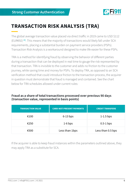

## **TRANSACTION RISK ANALYSIS (TRA)**

The global average transaction value placed via direct traffic in 2019 came to USD \$112 (EUR€92) **[3]**. This means that the majority of transactions would likely fall under SCA requirements, placing a substantial burden on payment service providers (PSPs). Transaction Risk Analysis is a workaround designed to make life easier for these PSPs.

TRA is a method for identifying fraud by observing the behavior of different parties during a transaction that can be deployed in real time to gauge the risk represented by that transaction. TRA is invisible to the customer and adds no friction to the customer journey, while saving time and money for PSPs. To deploy TRA, as opposed to an SCA verification method that could introduce friction to the transaction process, the acquirer in question must demonstrate that fraud is managed and contained. See the chart below for TRA schedules allowed under current rules:

#### **Fraud as a share of total transactions processed over previous 90 days (transaction value, represented in basis points)**

| <b>TRANSACTION VALUE</b> | <b>CARD-NOT-PRESENT PAYMENTS</b> | <b>CREDIT TRANSFERS</b> |
|--------------------------|----------------------------------|-------------------------|
| €100                     | $6-13$ bps                       | $1-1.5$ bps             |
| €250                     | $1-6$ bps                        | $0.5-1$ bps             |
| €500                     | Less than 1bps                   | Less than 0.5 bps       |

If the acquirer is able to keep fraud instances within the parameters outlined above, they may apply TRA as a substitute for SCA.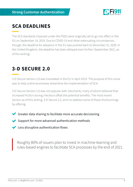

## **SCA DEADLINES**

The SCA standards imposed under the PSD2 were originally set to go into effect in the EU on September 14, 2019. Due to COVID-19 and other extenuating circumstances, though, the deadline for adoption in the EU was pushed back to December 31, 2020. In the United Kingdom, the deadline has been delayed even further (September 2021, as of this writing).

### **3-D SECURE 2.0**

3-D Secure Version 2.0 was mandated in the EU in April 2019. The purpose of this move was to help online businesses streamline the implementation of SCA.

3-D Secure Version 1.0 was not popular with merchants, many of whom believed that increased friction during checkout offset the potential benefits. The most recent version as of this writing, 3-D Secure 2.2, aims to address some of these shortcomings by offering:

- Greater data sharing to facilitate more accurate decisioning
- Support for more advanced authentication methods
- Less disruptive authentication flows

Roughly 80% of issuers plan to invest in machine-learning and rules-based engines to facilitate SCA processes by the end of 2021.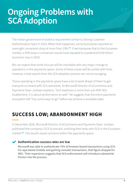## **Ongoing Problems with SCA Adoption**

The Indian government enacted a requirement similar to Strong Customer Authentication back in 2014. When that happened, some businesses reported an overnight conversion drop of more than 25% **[4]**. If we transpose that to the European market, a 25% drop in conversion would have equated to a potential €150 billion economic loss in 2019.

We can expect that some hiccups will be inevitable with any major change to operations in the payments space. Some of these issues will be sorted with time; however, initial reports from the SCA adoption process are not encouraging.

Those operating in the payments space have a lot of work ahead of them to get everyone on board with SCA standards. As Microsoft Director of eCommerce and Payments Dean Jordaan explains, "SCA readiness is more than just EMV 3DS enablement, it is about performance as well." He suggests that the entire payments ecosystem still "has some ways to go" before we achieve a workable state.

## **SUCCESS LOW; ABANDONMENT HIGH**

In December 2020, Microsoft Director of eCommerce and Payments Dean Jordaan published the company's SCA Scorecard, outlining their tests with SCA in the European market<sup>[5]</sup>. The results raised concerns within the payments space:

#### **Authentication success rates are low**

Microsoft was able to authenticate 76% of browser-based transactions using SCA. For app-based (mobile and gaming console) transactions, that figure dropped to 48%. Their experience suggests that SCA enforcement will introduce substantial friction into the process.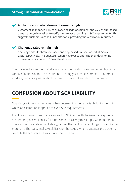

#### **Authentication abandonment remains high**

Customers abandoned 14% of browser-based transactions, and 25% of app-based transactions, when asked to verify themselves according to SCA requirements. This suggests customers are still uncomfortable providing the verification requested.

#### **Challenge rates remain high**

Challenge rates for browser-based and app-based transactions sit at 72% and 73%, respectively. This suggests issuers have yet to optimize their decisioning process when it comes to SCA authentication.

The scorecard also notes that attempts at authentication stand-in remain high in a variety of nations across the continent. This suggests that customers in a number of markets, and at varying levels of national GDP, are not enrolled in SCA protocols.

## **CONFUSION ABOUT SCA LIABILITY**

Surprisingly, it's not always clear when determining the party liable for incidents in which an exemption is applied to avert SCA requirements.

Liability for transactions that are subject to SCA rests with the issuer or acquirer. An acquirer may accept liability for a transaction as a way to exempt SCA requirements. The acquirer may retain that liability, or pass the liability (or resulting costs) on to the merchant. That said, final say still lies with the issuer, which possesses the power to overrule the acquirer and insist on authentication.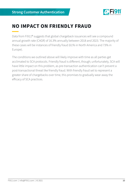

### **NO IMPACT ON FRIENDLY FRAUD**

Data from Fi911® suggests that global chargeback issuances will see a compound annual growth rate (CAGR) of 16.3% annually between 2018 and 2023. The majority of these cases will be instances of friendly fraud (61% in North America and 73% in Europe).

The conditions we outlined above will likely improve with time as all parties get acclimated to SCA protocols. Friendly fraud is different, though; unfortunately, SCA will have little impact on this problem, as pre-transaction authentication can't prevent a post-transactional threat like friendly fraud. With friendly fraud set to represent a greater share of chargebacks over time, this promises to gradually wear away the efficacy of SCA practices.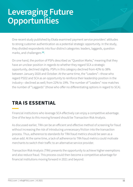## **Leveraging Future Opportunities**

One recent study published by Ekata examined payment service providers' attitudes to strong customer authentication as a potential strategic opportunity. In the study, they divided respondents into four distinct categories: leaders, laggards, question marks, and challengers **[6]**.

On one hand, the portion of PSPs described as "Question Marks," meaning that they have an unclear position in regards to whether they regard SCA a strategic opportunity, declined slightly. PSPs in this category declined from 42% to 38% between January 2020 and October. At the same time, the "Leaders"—those who regard PSD2 and SCA as an opportunity to reinforce their leadership position in the industry—declined as well; from 22% to 19%. The number of "Leaders" now matches the number of "Laggards" (those who offer no differentiating options in regard to SCA).

## **TRA IS ESSENTIAL**

Financial institutions who leverage SCA effectively can enjoy a competitive advantage. One of the keys to this moving forward should be Transaction Risk Analysis.

As discussed earlier, TRA can be an efficient and effective method of screening for fraud without increasing the risk of introducing unnecessary friction into the transaction process. Thus, adherence to standards for TRA fraud metrics should be seen as a value-add. At the same time, a lack of adherence to TRA fraud metrics could motivate merchants to switch their traffic to an alternative service provider.

Transaction Risk Analysis (TRA) presents the opportunity to achieve higher exemptions and also reduce fraud. This process could then become a competitive advantage for financial institutions moving forward in 2021 and beyond.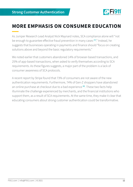

### **MORE EMPHASIS ON CONSUMER EDUCATION**

As Juniper Research Lead Analyst Nick Maynard notes, SCA compliance alone will "not be enough to guarantee effective fraud prevention in many cases <sup>[7]</sup>." Instead, he suggests that businesses operating in payments and finance should "focus on creating solutions above and beyond the basic regulatory requirements."

We noted earlier that customers abandoned 14% of browser-based transactions, and 25% of app-based transactions, when asked to verify themselves according to SCA requirements. As these figures suggests, a major part of the problem is a lack of consumer awareness of SCA protocols.

A recent report by Stripe found that 73% of consumers are not aware of the new authentication requirements. Furthermore, 74% of Gen-Z shoppers have abandoned an online purchase at checkout due to a bad experience **[8]**. These two facts help illuminate the challenge experienced by merchants, and the financial institutions who support them, as a result of SCA requirements. At the same time, they make it clear that educating consumers about strong customer authentication could be transformative.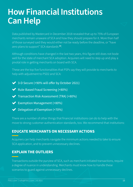## **How Financial Institutions Can Help**

Data published by Mastercard in December 2018 revealed that up to 75% of European merchants remain unaware of SCA and how they should prepare for it. More than half of those surveyed said they would either not be ready before the deadline, or "have zero plans to support" SCA standards **[9]**.

Although conditions have changed in the last two years, this figure still does not bode well for the state of merchant SCA adoption. Acquirers will need to step up and play a pivotal role in getting merchants on board with SCA.

These are the top five functionalities that PSPs say they will provide to merchants to help with adjustment to PSD2 and SCA:

- ◆ 3-D Secure (+90% will offer by October 2021)
- ◆ Rule-Based Fraud Screening (+80%)
- Transaction Risk Assessment (TRA) (+80%)
- Exemption Management (+80%)
- Delegation of Exemption (+70%)

There are a number of other things that financial institutions can do to help with the move to strong customer authentication standards, too. We recommend that institutions:

#### **EDUCATE MERCHANTS ON NECESSARY ACTIONS**

Acquirers can help merchants navigate the minimum actions needed to take to ensure SCA application, and to prevent unnecessary declines.

#### **EXPLAIN THE OUTLIERS**

Transactions outside the purview of SCA, such as merchant-initiated transactions, require a degree of nuance in understanding. Merchants must know how to handle these scenarios to guard against unnecessary declines.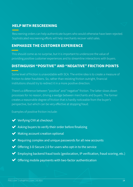### **HELP WITH RESCREENING**

Rescreening orders can help authenticate buyers who would otherwise have been rejected. Sophisticated rescreening efforts will help merchants recover valid sales.

#### **EMPHASIZE THE CUSTOMER EXPERIENCE**

This should come as no surprise, but it is important to underscore the value of providing positive customer experiences and to streamline interactions with buyers.

#### **DISTINGUISH "POSITIVE" AND "NEGATIVE" FRICTION POINTS**

Some level of friction is unavoidable with SCA. The entire idea is to create a measure of friction to deter fraudsters. So, rather than resisting friction outright, financial institutions should try to redirect it in a more positive direction.

There's a difference between "positive" and "negative" friction. The latter slows down processes for no reason, driving a wedge between merchants and buyers. The former creates a reasonable degree of friction that is hardly noticeable from the buyer's perspective, but which can be very effective at stopping fraud.

Examples of positive friction include:

- Verifying CVV at checkout
- Asking buyers to verify their order before finalizing
- Making account creation optional
- Requiring complex and unique passwords for all new accounts
- $\blacktriangleright$  Offering 3-D Secure 2.0 for users who opt-in to the service
- Employing backend fraud tools (geolocation, IP verification, fraud scoring, etc.)
- $\blacktriangleright$  Offering mobile payments with two-factor authentication